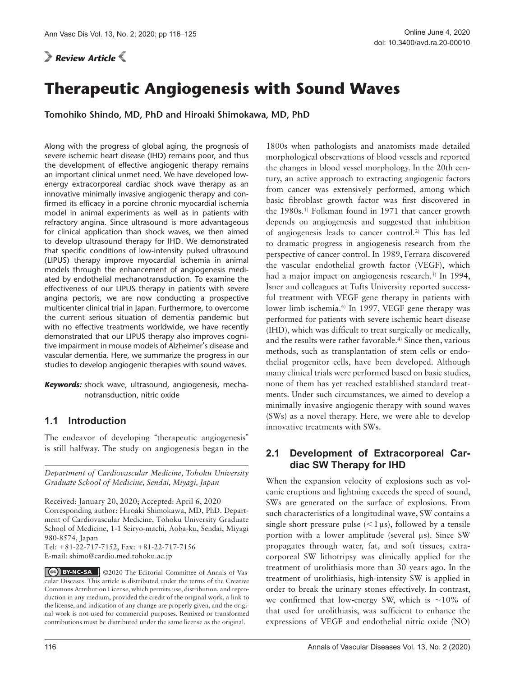*Review Article* 

# **Therapeutic Angiogenesis with Sound Waves**

**Tomohiko Shindo, MD, PhD and Hiroaki Shimokawa, MD, PhD**

Along with the progress of global aging, the prognosis of severe ischemic heart disease (IHD) remains poor, and thus the development of effective angiogenic therapy remains an important clinical unmet need. We have developed lowenergy extracorporeal cardiac shock wave therapy as an innovative minimally invasive angiogenic therapy and confirmed its efficacy in a porcine chronic myocardial ischemia model in animal experiments as well as in patients with refractory angina. Since ultrasound is more advantageous for clinical application than shock waves, we then aimed to develop ultrasound therapy for IHD. We demonstrated that specific conditions of low-intensity pulsed ultrasound (LIPUS) therapy improve myocardial ischemia in animal models through the enhancement of angiogenesis mediated by endothelial mechanotransduction. To examine the effectiveness of our LIPUS therapy in patients with severe angina pectoris, we are now conducting a prospective multicenter clinical trial in Japan. Furthermore, to overcome the current serious situation of dementia pandemic but with no effective treatments worldwide, we have recently demonstrated that our LIPUS therapy also improves cognitive impairment in mouse models of Alzheimer's disease and vascular dementia. Here, we summarize the progress in our studies to develop angiogenic therapies with sound waves.

#### **1.1 Introduction**

The endeavor of developing "therapeutic angiogenesis" is still halfway. The study on angiogenesis began in the

*Department of Cardiovascular Medicine, Tohoku University Graduate School of Medicine, Sendai, Miyagi, Japan*

Received: January 20, 2020; Accepted: April 6, 2020 Corresponding author: Hiroaki Shimokawa, MD, PhD. Department of Cardiovascular Medicine, Tohoku University Graduate School of Medicine, 1-1 Seiryo-machi, Aoba-ku, Sendai, Miyagi 980-8574, Japan Tel: +81-22-717-7152, Fax: +81-22-717-7156 E-mail: shimo@cardio.med.tohoku.ac.jp

CC BY-NC-SA C2020 The Editorial Committee of Annals of Vas[cular Diseases. This a](https://creativecommons.org/licenses/by-nc-sa/4.0/deed.en)rticle is distributed under the terms of the Creative Commons Attribution License, which permits use, distribution, and reproduction in any medium, provided the credit of the original work, a link to the license, and indication of any change are properly given, and the original work is not used for commercial purposes. Remixed or transformed contributions must be distributed under the same license as the original.

1800s when pathologists and anatomists made detailed morphological observations of blood vessels and reported the changes in blood vessel morphology. In the 20th century, an active approach to extracting angiogenic factors from cancer was extensively performed, among which basic fibroblast growth factor was first discovered in the 1980s.1) Folkman found in 1971 that cancer growth depends on angiogenesis and suggested that inhibition of angiogenesis leads to cancer control.2) This has led to dramatic progress in angiogenesis research from the perspective of cancer control. In 1989, Ferrara discovered the vascular endothelial growth factor (VEGF), which had a major impact on angiogenesis research.<sup>3)</sup> In 1994, Isner and colleagues at Tufts University reported successful treatment with VEGF gene therapy in patients with lower limb ischemia.<sup>4)</sup> In 1997, VEGF gene therapy was performed for patients with severe ischemic heart disease (IHD), which was difficult to treat surgically or medically, and the results were rather favorable.4) Since then, various methods, such as transplantation of stem cells or endothelial progenitor cells, have been developed. Although many clinical trials were performed based on basic studies, none of them has yet reached established standard treatments. Under such circumstances, we aimed to develop a minimally invasive angiogenic therapy with sound waves (SWs) as a novel therapy. Here, we were able to develop innovative treatments with SWs.

## **2.1 Development of Extracorporeal Cardiac SW Therapy for IHD**

When the expansion velocity of explosions such as volcanic eruptions and lightning exceeds the speed of sound, SWs are generated on the surface of explosions. From such characteristics of a longitudinal wave, SW contains a single short pressure pulse  $\left($  < 1 $\mu$ s), followed by a tensile portion with a lower amplitude (several μs). Since SW propagates through water, fat, and soft tissues, extracorporeal SW lithotripsy was clinically applied for the treatment of urolithiasis more than 30 years ago. In the treatment of urolithiasis, high-intensity SW is applied in order to break the urinary stones effectively. In contrast, we confirmed that low-energy SW, which is ∼10% of that used for urolithiasis, was sufficient to enhance the expressions of VEGF and endothelial nitric oxide (NO)

*Keywords:* shock wave, ultrasound, angiogenesis, mechanotransduction, nitric oxide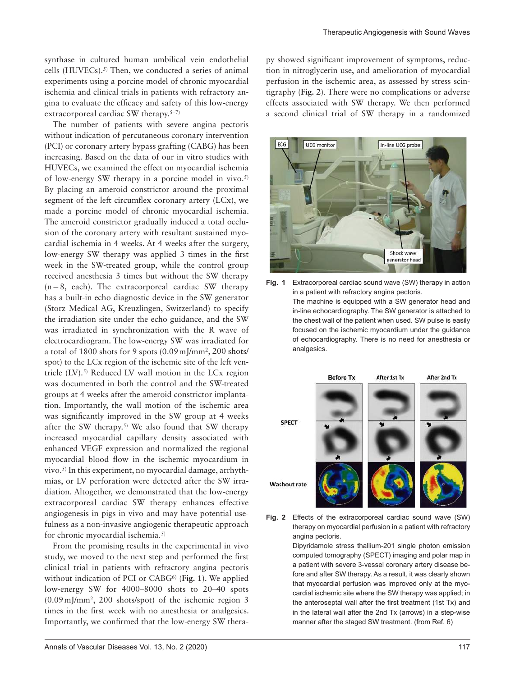synthase in cultured human umbilical vein endothelial cells  $(HUVECs).<sup>5)</sup>$  Then, we conducted a series of animal experiments using a porcine model of chronic myocardial ischemia and clinical trials in patients with refractory angina to evaluate the efficacy and safety of this low-energy extracorporeal cardiac SW therapy.<sup>5-7)</sup>

The number of patients with severe angina pectoris without indication of percutaneous coronary intervention (PCI) or coronary artery bypass grafting (CABG) has been increasing. Based on the data of our in vitro studies with HUVECs, we examined the effect on myocardial ischemia of low-energy SW therapy in a porcine model in vivo.5) By placing an ameroid constrictor around the proximal segment of the left circumflex coronary artery (LCx), we made a porcine model of chronic myocardial ischemia. The ameroid constrictor gradually induced a total occlusion of the coronary artery with resultant sustained myocardial ischemia in 4 weeks. At 4 weeks after the surgery, low-energy SW therapy was applied 3 times in the first week in the SW-treated group, while the control group received anesthesia 3 times but without the SW therapy  $(n=8, each)$ . The extracorporeal cardiac SW therapy has a built-in echo diagnostic device in the SW generator (Storz Medical AG, Kreuzlingen, Switzerland) to specify the irradiation site under the echo guidance, and the SW was irradiated in synchronization with the R wave of electrocardiogram. The low-energy SW was irradiated for a total of 1800 shots for 9 spots (0.09 mJ/mm2, 200 shots/ spot) to the LCx region of the ischemic site of the left ventricle (LV).<sup>5)</sup> Reduced LV wall motion in the LCx region was documented in both the control and the SW-treated groups at 4 weeks after the ameroid constrictor implantation. Importantly, the wall motion of the ischemic area was significantly improved in the SW group at 4 weeks after the SW therapy.<sup>5)</sup> We also found that SW therapy increased myocardial capillary density associated with enhanced VEGF expression and normalized the regional myocardial blood flow in the ischemic myocardium in vivo.5) In this experiment, no myocardial damage, arrhythmias, or LV perforation were detected after the SW irradiation. Altogether, we demonstrated that the low-energy extracorporeal cardiac SW therapy enhances effective angiogenesis in pigs in vivo and may have potential usefulness as a non-invasive angiogenic therapeutic approach for chronic myocardial ischemia.5)

From the promising results in the experimental in vivo study, we moved to the next step and performed the first clinical trial in patients with refractory angina pectoris without indication of PCI or CABG6) (**Fig. 1**). We applied low-energy SW for 4000–8000 shots to 20–40 spots (0.09 mJ/mm2, 200 shots/spot) of the ischemic region 3 times in the first week with no anesthesia or analgesics. Importantly, we confirmed that the low-energy SW therapy showed significant improvement of symptoms, reduction in nitroglycerin use, and amelioration of myocardial perfusion in the ischemic area, as assessed by stress scintigraphy (**Fig. 2**). There were no complications or adverse effects associated with SW therapy. We then performed a second clinical trial of SW therapy in a randomized



**Fig. 1** Extracorporeal cardiac sound wave (SW) therapy in action in a patient with refractory angina pectoris. The machine is equipped with a SW generator head and in-line echocardiography. The SW generator is attached to the chest wall of the patient when used. SW pulse is easily focused on the ischemic myocardium under the guidance of echocardiography. There is no need for anesthesia or analgesics.



**Fig. 2** Effects of the extracorporeal cardiac sound wave (SW) therapy on myocardial perfusion in a patient with refractory angina pectoris.

> Dipyridamole stress thallium-201 single photon emission computed tomography (SPECT) imaging and polar map in a patient with severe 3-vessel coronary artery disease before and after SW therapy. As a result, it was clearly shown that myocardial perfusion was improved only at the myocardial ischemic site where the SW therapy was applied; in the anteroseptal wall after the first treatment (1st Tx) and in the lateral wall after the 2nd Tx (arrows) in a step-wise manner after the staged SW treatment. (from Ref. 6)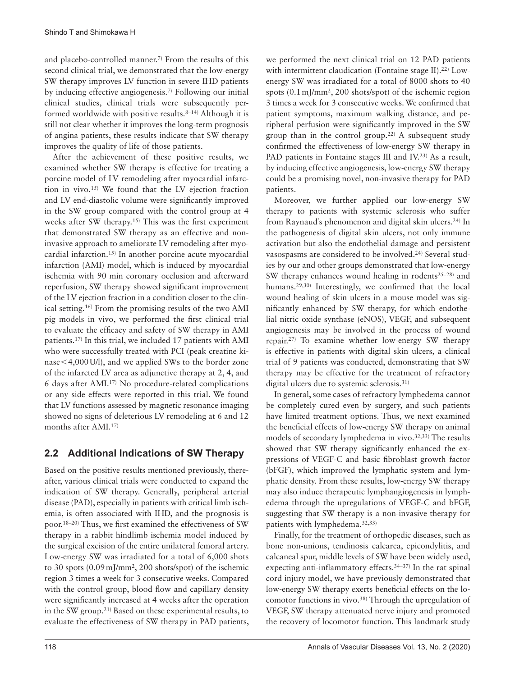and placebo-controlled manner.7) From the results of this second clinical trial, we demonstrated that the low-energy SW therapy improves LV function in severe IHD patients by inducing effective angiogenesis.7) Following our initial clinical studies, clinical trials were subsequently performed worldwide with positive results.<sup>8–14)</sup> Although it is still not clear whether it improves the long-term prognosis of angina patients, these results indicate that SW therapy improves the quality of life of those patients.

After the achievement of these positive results, we examined whether SW therapy is effective for treating a porcine model of LV remodeling after myocardial infarction in vivo.15) We found that the LV ejection fraction and LV end-diastolic volume were significantly improved in the SW group compared with the control group at 4 weeks after SW therapy.15) This was the first experiment that demonstrated SW therapy as an effective and noninvasive approach to ameliorate LV remodeling after myocardial infarction.15) In another porcine acute myocardial infarction (AMI) model, which is induced by myocardial ischemia with 90 min coronary occlusion and afterward reperfusion, SW therapy showed significant improvement of the LV ejection fraction in a condition closer to the clinical setting.16) From the promising results of the two AMI pig models in vivo, we performed the first clinical trial to evaluate the efficacy and safety of SW therapy in AMI patients.17) In this trial, we included 17 patients with AMI who were successfully treated with PCI (peak creatine kinase<4,000 U/l), and we applied SWs to the border zone of the infarcted LV area as adjunctive therapy at 2, 4, and 6 days after AMI.17) No procedure-related complications or any side effects were reported in this trial. We found that LV functions assessed by magnetic resonance imaging showed no signs of deleterious LV remodeling at 6 and 12 months after AMI.17)

# **2.2 Additional Indications of SW Therapy**

Based on the positive results mentioned previously, thereafter, various clinical trials were conducted to expand the indication of SW therapy. Generally, peripheral arterial disease (PAD), especially in patients with critical limb ischemia, is often associated with IHD, and the prognosis is poor.18–20) Thus, we first examined the effectiveness of SW therapy in a rabbit hindlimb ischemia model induced by the surgical excision of the entire unilateral femoral artery. Low-energy SW was irradiated for a total of 6,000 shots to 30 spots (0.09 mJ/mm2, 200 shots/spot) of the ischemic region 3 times a week for 3 consecutive weeks. Compared with the control group, blood flow and capillary density were significantly increased at 4 weeks after the operation in the SW group.21) Based on these experimental results, to evaluate the effectiveness of SW therapy in PAD patients, we performed the next clinical trial on 12 PAD patients with intermittent claudication (Fontaine stage II).<sup>22)</sup> Lowenergy SW was irradiated for a total of 8000 shots to 40 spots (0.1 mJ/mm2, 200 shots/spot) of the ischemic region 3 times a week for 3 consecutive weeks. We confirmed that patient symptoms, maximum walking distance, and peripheral perfusion were significantly improved in the SW group than in the control group.<sup>22)</sup> A subsequent study confirmed the effectiveness of low-energy SW therapy in PAD patients in Fontaine stages III and IV.<sup>23)</sup> As a result, by inducing effective angiogenesis, low-energy SW therapy could be a promising novel, non-invasive therapy for PAD patients.

Moreover, we further applied our low-energy SW therapy to patients with systemic sclerosis who suffer from Raynaud's phenomenon and digital skin ulcers.24) In the pathogenesis of digital skin ulcers, not only immune activation but also the endothelial damage and persistent vasospasms are considered to be involved.24) Several studies by our and other groups demonstrated that low-energy SW therapy enhances wound healing in rodents $25-28$ ) and humans.<sup>29,30)</sup> Interestingly, we confirmed that the local wound healing of skin ulcers in a mouse model was significantly enhanced by SW therapy, for which endothelial nitric oxide synthase (eNOS), VEGF, and subsequent angiogenesis may be involved in the process of wound repair.27) To examine whether low-energy SW therapy is effective in patients with digital skin ulcers, a clinical trial of 9 patients was conducted, demonstrating that SW therapy may be effective for the treatment of refractory digital ulcers due to systemic sclerosis.<sup>31)</sup>

In general, some cases of refractory lymphedema cannot be completely cured even by surgery, and such patients have limited treatment options. Thus, we next examined the beneficial effects of low-energy SW therapy on animal models of secondary lymphedema in vivo.<sup>32,33)</sup> The results showed that SW therapy significantly enhanced the expressions of VEGF-C and basic fibroblast growth factor (bFGF), which improved the lymphatic system and lymphatic density. From these results, low-energy SW therapy may also induce therapeutic lymphangiogenesis in lymphedema through the upregulations of VEGF-C and bFGF, suggesting that SW therapy is a non-invasive therapy for patients with lymphedema.32,33)

Finally, for the treatment of orthopedic diseases, such as bone non-unions, tendinosis calcarea, epicondylitis, and calcaneal spur, middle levels of SW have been widely used, expecting anti-inflammatory effects.34–37) In the rat spinal cord injury model, we have previously demonstrated that low-energy SW therapy exerts beneficial effects on the locomotor functions in vivo.38) Through the upregulation of VEGF, SW therapy attenuated nerve injury and promoted the recovery of locomotor function. This landmark study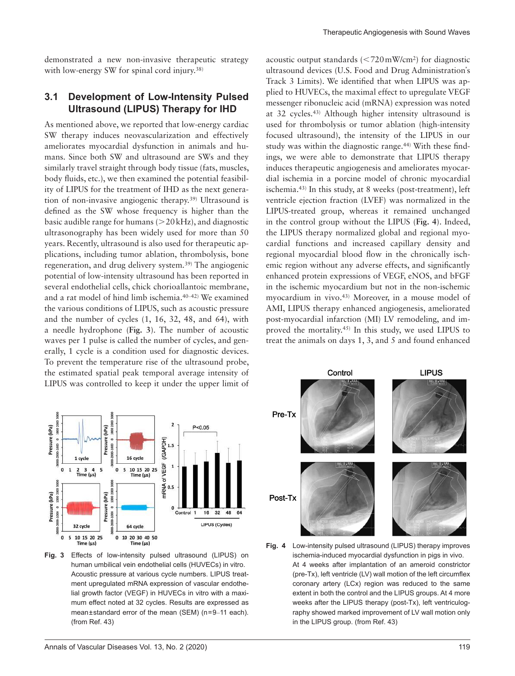demonstrated a new non-invasive therapeutic strategy with low-energy SW for spinal cord injury.<sup>38)</sup>

#### **3.1 Development of Low-Intensity Pulsed Ultrasound (LIPUS) Therapy for IHD**

As mentioned above, we reported that low-energy cardiac SW therapy induces neovascularization and effectively ameliorates myocardial dysfunction in animals and humans. Since both SW and ultrasound are SWs and they similarly travel straight through body tissue (fats, muscles, body fluids, etc.), we then examined the potential feasibility of LIPUS for the treatment of IHD as the next generation of non-invasive angiogenic therapy.39) Ultrasound is defined as the SW whose frequency is higher than the basic audible range for humans  $(>20$  kHz), and diagnostic ultrasonography has been widely used for more than 50 years. Recently, ultrasound is also used for therapeutic applications, including tumor ablation, thrombolysis, bone regeneration, and drug delivery system.39) The angiogenic potential of low-intensity ultrasound has been reported in several endothelial cells, chick chorioallantoic membrane, and a rat model of hind limb ischemia.40–42) We examined the various conditions of LIPUS, such as acoustic pressure and the number of cycles (1, 16, 32, 48, and 64), with a needle hydrophone (**Fig. 3**). The number of acoustic waves per 1 pulse is called the number of cycles, and generally, 1 cycle is a condition used for diagnostic devices. To prevent the temperature rise of the ultrasound probe, the estimated spatial peak temporal average intensity of LIPUS was controlled to keep it under the upper limit of acoustic output standards  $\left| \langle 720 \text{ mW/cm}^2 \rangle \right|$  for diagnostic ultrasound devices (U.S. Food and Drug Administration's Track 3 Limits). We identified that when LIPUS was applied to HUVECs, the maximal effect to upregulate VEGF messenger ribonucleic acid (mRNA) expression was noted at 32 cycles.43) Although higher intensity ultrasound is used for thrombolysis or tumor ablation (high-intensity focused ultrasound), the intensity of the LIPUS in our study was within the diagnostic range.<sup>44)</sup> With these findings, we were able to demonstrate that LIPUS therapy induces therapeutic angiogenesis and ameliorates myocardial ischemia in a porcine model of chronic myocardial ischemia.43) In this study, at 8 weeks (post-treatment), left ventricle ejection fraction (LVEF) was normalized in the LIPUS-treated group, whereas it remained unchanged in the control group without the LIPUS (**Fig. 4**). Indeed, the LIPUS therapy normalized global and regional myocardial functions and increased capillary density and regional myocardial blood flow in the chronically ischemic region without any adverse effects, and significantly enhanced protein expressions of VEGF, eNOS, and bFGF in the ischemic myocardium but not in the non-ischemic myocardium in vivo.43) Moreover, in a mouse model of AMI, LIPUS therapy enhanced angiogenesis, ameliorated post-myocardial infarction (MI) LV remodeling, and improved the mortality.45) In this study, we used LIPUS to treat the animals on days 1, 3, and 5 and found enhanced



**Fig. 3** Effects of low-intensity pulsed ultrasound (LIPUS) on human umbilical vein endothelial cells (HUVECs) in vitro. Acoustic pressure at various cycle numbers. LIPUS treatment upregulated mRNA expression of vascular endothelial growth factor (VEGF) in HUVECs in vitro with a maximum effect noted at 32 cycles. Results are expressed as mean±standard error of the mean (SEM) (n=9–11 each). (from Ref. 43)



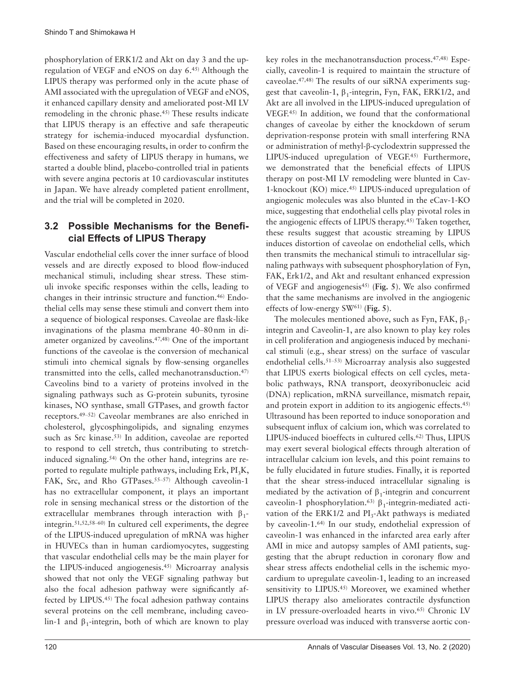phosphorylation of ERK1/2 and Akt on day 3 and the upregulation of VEGF and eNOS on day 6.45) Although the LIPUS therapy was performed only in the acute phase of AMI associated with the upregulation of VEGF and eNOS, it enhanced capillary density and ameliorated post-MI LV remodeling in the chronic phase.45) These results indicate that LIPUS therapy is an effective and safe therapeutic strategy for ischemia-induced myocardial dysfunction. Based on these encouraging results, in order to confirm the effectiveness and safety of LIPUS therapy in humans, we started a double blind, placebo-controlled trial in patients with severe angina pectoris at 10 cardiovascular institutes in Japan. We have already completed patient enrollment, and the trial will be completed in 2020.

# **3.2 Possible Mechanisms for the Beneficial Effects of LIPUS Therapy**

Vascular endothelial cells cover the inner surface of blood vessels and are directly exposed to blood flow-induced mechanical stimuli, including shear stress. These stimuli invoke specific responses within the cells, leading to changes in their intrinsic structure and function.46) Endothelial cells may sense these stimuli and convert them into a sequence of biological responses. Caveolae are flask-like invaginations of the plasma membrane 40–80 nm in diameter organized by caveolins.47,48) One of the important functions of the caveolae is the conversion of mechanical stimuli into chemical signals by flow-sensing organelles transmitted into the cells, called mechanotransduction.47) Caveolins bind to a variety of proteins involved in the signaling pathways such as G-protein subunits, tyrosine kinases, NO synthase, small GTPases, and growth factor receptors.49–52) Caveolar membranes are also enriched in cholesterol, glycosphingolipids, and signaling enzymes such as Src kinase.<sup>53)</sup> In addition, caveolae are reported to respond to cell stretch, thus contributing to stretchinduced signaling.54) On the other hand, integrins are reported to regulate multiple pathways, including Erk,  $PI_3K$ , FAK, Src, and Rho GTPases.<sup>55-57)</sup> Although caveolin-1 has no extracellular component, it plays an important role in sensing mechanical stress or the distortion of the extracellular membranes through interaction with  $\beta_1$ integrin.51,52,58–60) In cultured cell experiments, the degree of the LIPUS-induced upregulation of mRNA was higher in HUVECs than in human cardiomyocytes, suggesting that vascular endothelial cells may be the main player for the LIPUS-induced angiogenesis.45) Microarray analysis showed that not only the VEGF signaling pathway but also the focal adhesion pathway were significantly affected by LIPUS.45) The focal adhesion pathway contains several proteins on the cell membrane, including caveolin-1 and  $\beta_1$ -integrin, both of which are known to play key roles in the mechanotransduction process.47,48) Especially, caveolin-1 is required to maintain the structure of caveolae.47,48) The results of our siRNA experiments suggest that caveolin-1,  $\beta_1$ -integrin, Fyn, FAK, ERK1/2, and Akt are all involved in the LIPUS-induced upregulation of VEGF.45) In addition, we found that the conformational changes of caveolae by either the knockdown of serum deprivation-response protein with small interfering RNA or administration of methyl-β-cyclodextrin suppressed the LIPUS-induced upregulation of VEGF.<sup>45)</sup> Furthermore, we demonstrated that the beneficial effects of LIPUS therapy on post-MI LV remodeling were blunted in Cav-1-knockout (KO) mice.45) LIPUS-induced upregulation of angiogenic molecules was also blunted in the eCav-1-KO mice, suggesting that endothelial cells play pivotal roles in the angiogenic effects of LIPUS therapy.45) Taken together, these results suggest that acoustic streaming by LIPUS induces distortion of caveolae on endothelial cells, which then transmits the mechanical stimuli to intracellular signaling pathways with subsequent phosphorylation of Fyn, FAK, Erk1/2, and Akt and resultant enhanced expression of VEGF and angiogenesis45) (**Fig. 5**). We also confirmed that the same mechanisms are involved in the angiogenic effects of low-energy SW61) (**Fig. 5**).

The molecules mentioned above, such as Fyn, FAK,  $\beta_1$ integrin and Caveolin-1, are also known to play key roles in cell proliferation and angiogenesis induced by mechanical stimuli (e.g., shear stress) on the surface of vascular endothelial cells.51–53) Microarray analysis also suggested that LIPUS exerts biological effects on cell cycles, metabolic pathways, RNA transport, deoxyribonucleic acid (DNA) replication, mRNA surveillance, mismatch repair, and protein export in addition to its angiogenic effects.45) Ultrasound has been reported to induce sonoporation and subsequent influx of calcium ion, which was correlated to LIPUS-induced bioeffects in cultured cells.62) Thus, LIPUS may exert several biological effects through alteration of intracellular calcium ion levels, and this point remains to be fully elucidated in future studies. Finally, it is reported that the shear stress-induced intracellular signaling is mediated by the activation of  $\beta_1$ -integrin and concurrent caveolin-1 phosphorylation.<sup>63)</sup> β<sub>1</sub>-integrin-mediated activation of the ERK1/2 and  $PI_3$ -Akt pathways is mediated by caveolin-1.64) In our study, endothelial expression of caveolin-1 was enhanced in the infarcted area early after AMI in mice and autopsy samples of AMI patients, suggesting that the abrupt reduction in coronary flow and shear stress affects endothelial cells in the ischemic myocardium to upregulate caveolin-1, leading to an increased sensitivity to LIPUS.<sup>45)</sup> Moreover, we examined whether LIPUS therapy also ameliorates contractile dysfunction in LV pressure-overloaded hearts in vivo.<sup>65)</sup> Chronic LV pressure overload was induced with transverse aortic con-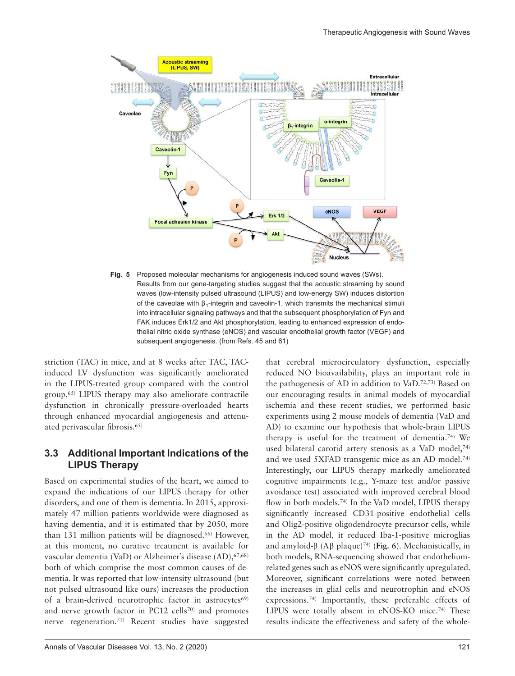

**Fig. 5** Proposed molecular mechanisms for angiogenesis induced sound waves (SWs). Results from our gene-targeting studies suggest that the acoustic streaming by sound waves (low-intensity pulsed ultrasound (LIPUS) and low-energy SW) induces distortion of the caveolae with  $β_1$ -integrin and caveolin-1, which transmits the mechanical stimuli into intracellular signaling pathways and that the subsequent phosphorylation of Fyn and FAK induces Erk1/2 and Akt phosphorylation, leading to enhanced expression of endothelial nitric oxide synthase (eNOS) and vascular endothelial growth factor (VEGF) and subsequent angiogenesis. (from Refs. 45 and 61)

striction (TAC) in mice, and at 8 weeks after TAC, TACinduced LV dysfunction was significantly ameliorated in the LIPUS-treated group compared with the control group.65) LIPUS therapy may also ameliorate contractile dysfunction in chronically pressure-overloaded hearts through enhanced myocardial angiogenesis and attenuated perivascular fibrosis.65)

## **3.3 Additional Important Indications of the LIPUS Therapy**

Based on experimental studies of the heart, we aimed to expand the indications of our LIPUS therapy for other disorders, and one of them is dementia. In 2015, approximately 47 million patients worldwide were diagnosed as having dementia, and it is estimated that by 2050, more than 131 million patients will be diagnosed.66) However, at this moment, no curative treatment is available for vascular dementia (VaD) or Alzheimer's disease (AD), 67,68) both of which comprise the most common causes of dementia. It was reported that low-intensity ultrasound (but not pulsed ultrasound like ours) increases the production of a brain-derived neurotrophic factor in astrocytes<sup>69)</sup> and nerve growth factor in PC12 cells<sup>70)</sup> and promotes nerve regeneration.71) Recent studies have suggested

Annals of Vascular Diseases Vol. 13, No. 2 (2020) 121

that cerebral microcirculatory dysfunction, especially reduced NO bioavailability, plays an important role in the pathogenesis of AD in addition to VaD.72,73) Based on our encouraging results in animal models of myocardial ischemia and these recent studies, we performed basic experiments using 2 mouse models of dementia (VaD and AD) to examine our hypothesis that whole-brain LIPUS therapy is useful for the treatment of dementia.<sup>74)</sup> We used bilateral carotid artery stenosis as a VaD model,<sup>74)</sup> and we used 5XFAD transgenic mice as an AD model.74) Interestingly, our LIPUS therapy markedly ameliorated cognitive impairments (e.g., Y-maze test and/or passive avoidance test) associated with improved cerebral blood flow in both models.74) In the VaD model, LIPUS therapy significantly increased CD31-positive endothelial cells and Olig2-positive oligodendrocyte precursor cells, while in the AD model, it reduced Iba-1-positive microglias and amyloid-β (Aβ plaque)74) (**Fig. 6**). Mechanistically, in both models, RNA-sequencing showed that endotheliumrelated genes such as eNOS were significantly upregulated. Moreover, significant correlations were noted between the increases in glial cells and neurotrophin and eNOS expressions.74) Importantly, these preferable effects of LIPUS were totally absent in eNOS-KO mice.<sup>74)</sup> These results indicate the effectiveness and safety of the whole-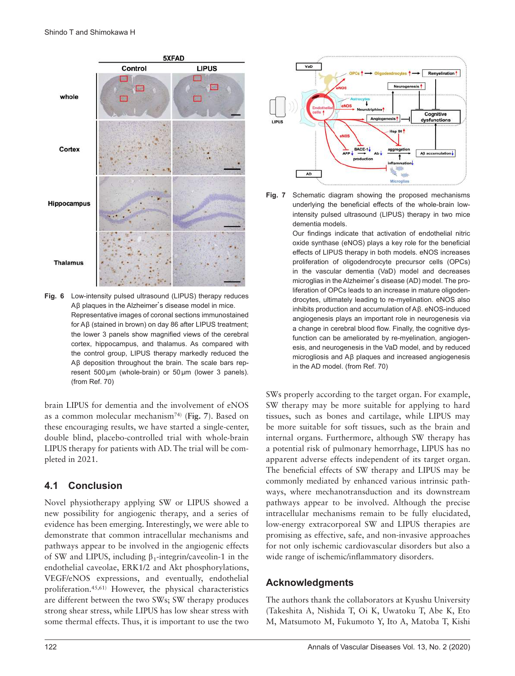

**Fig. 6** Low-intensity pulsed ultrasound (LIPUS) therapy reduces Aβ plaques in the Alzheimer's disease model in mice. Representative images of coronal sections immunostained for Aβ (stained in brown) on day 86 after LIPUS treatment; the lower 3 panels show magnified views of the cerebral cortex, hippocampus, and thalamus. As compared with the control group, LIPUS therapy markedly reduced the Aβ deposition throughout the brain. The scale bars represent 500 µm (whole-brain) or 50 µm (lower 3 panels). (from Ref. 70)

brain LIPUS for dementia and the involvement of eNOS as a common molecular mechanism74) (**Fig. 7**). Based on these encouraging results, we have started a single-center, double blind, placebo-controlled trial with whole-brain LIPUS therapy for patients with AD. The trial will be completed in 2021.

## **4.1 Conclusion**

Novel physiotherapy applying SW or LIPUS showed a new possibility for angiogenic therapy, and a series of evidence has been emerging. Interestingly, we were able to demonstrate that common intracellular mechanisms and pathways appear to be involved in the angiogenic effects of SW and LIPUS, including  $\beta_1$ -integrin/caveolin-1 in the endothelial caveolae, ERK1/2 and Akt phosphorylations, VEGF/eNOS expressions, and eventually, endothelial proliferation.45,61) However, the physical characteristics are different between the two SWs; SW therapy produces strong shear stress, while LIPUS has low shear stress with some thermal effects. Thus, it is important to use the two





Our findings indicate that activation of endothelial nitric oxide synthase (eNOS) plays a key role for the beneficial effects of LIPUS therapy in both models. eNOS increases proliferation of oligodendrocyte precursor cells (OPCs) in the vascular dementia (VaD) model and decreases microglias in the Alzheimer's disease (AD) model. The proliferation of OPCs leads to an increase in mature oligodendrocytes, ultimately leading to re-myelination. eNOS also inhibits production and accumulation of Aβ. eNOS-induced angiogenesis plays an important role in neurogenesis via a change in cerebral blood flow. Finally, the cognitive dysfunction can be ameliorated by re-myelination, angiogenesis, and neurogenesis in the VaD model, and by reduced microgliosis and Aβ plaques and increased angiogenesis in the AD model. (from Ref. 70)

SWs properly according to the target organ. For example, SW therapy may be more suitable for applying to hard tissues, such as bones and cartilage, while LIPUS may be more suitable for soft tissues, such as the brain and internal organs. Furthermore, although SW therapy has a potential risk of pulmonary hemorrhage, LIPUS has no apparent adverse effects independent of its target organ. The beneficial effects of SW therapy and LIPUS may be commonly mediated by enhanced various intrinsic pathways, where mechanotransduction and its downstream pathways appear to be involved. Although the precise intracellular mechanisms remain to be fully elucidated, low-energy extracorporeal SW and LIPUS therapies are promising as effective, safe, and non-invasive approaches for not only ischemic cardiovascular disorders but also a wide range of ischemic/inflammatory disorders.

## **Acknowledgments**

The authors thank the collaborators at Kyushu University (Takeshita A, Nishida T, Oi K, Uwatoku T, Abe K, Eto M, Matsumoto M, Fukumoto Y, Ito A, Matoba T, Kishi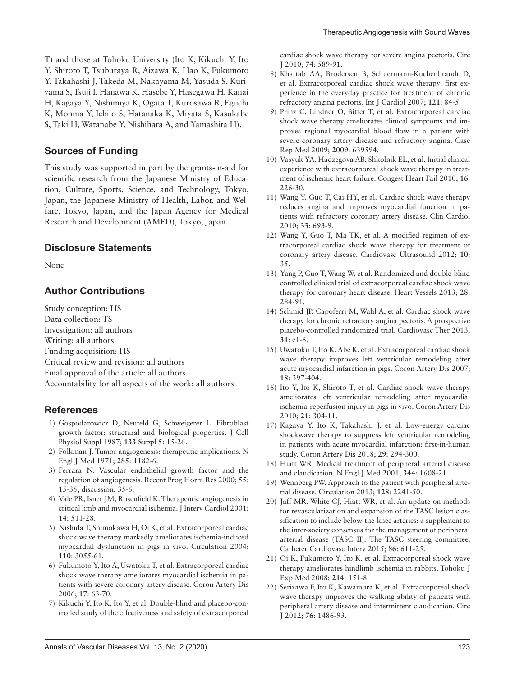T) and those at Tohoku University (Ito K, Kikuchi Y, Ito Y, Shiroto T, Tsuburaya R, Aizawa K, Hao K, Fukumoto Y, Takahashi J, Takeda M, Nakayama M, Yasuda S, Kuriyama S, Tsuji I, Hanawa K, Hasebe Y, Hasegawa H, Kanai H, Kagaya Y, Nishimiya K, Ogata T, Kurosawa R, Eguchi K, Monma Y, Ichijo S, Hatanaka K, Miyata S, Kasukabe S, Taki H, Watanabe Y, Nishihara A, and Yamashita H).

#### **Sources of Funding**

This study was supported in part by the grants-in-aid for scientific research from the Japanese Ministry of Education, Culture, Sports, Science, and Technology, Tokyo, Japan, the Japanese Ministry of Health, Labor, and Welfare, Tokyo, Japan, and the Japan Agency for Medical Research and Development (AMED), Tokyo, Japan.

#### **Disclosure Statements**

None

## **Author Contributions**

Study conception: HS Data collection: TS Investigation: all authors Writing: all authors Funding acquisition: HS Critical review and revision: all authors Final approval of the article: all authors Accountability for all aspects of the work: all authors

#### **References**

- [1\) Gospodarowicz D, Neufeld G, Schweigerer L. Fibroblast](http://dx.doi.org/10.1002/jcp.1041330405)  [growth factor: structural and biological properties. J Cell](http://dx.doi.org/10.1002/jcp.1041330405)  [Physiol Suppl 1987;](http://dx.doi.org/10.1002/jcp.1041330405) **133 Suppl 5**: 15-26.
- [2\) Folkman J. Tumor angiogenesis: therapeutic implications. N](http://dx.doi.org/10.1056/NEJM197111182852108)  [Engl J Med 1971;](http://dx.doi.org/10.1056/NEJM197111182852108) **285**: 1182-6.
- 3) Ferrara N. Vascular endothelial growth factor and the regulation of angiogenesis. Recent Prog Horm Res 2000; **55**: 15-35; discussion, 35-6.
- [4\) Vale PR, Isner JM, Rosenfield K. Therapeutic angiogenesis in](http://dx.doi.org/10.1111/j.1540-8183.2001.tb00367.x)  [critical limb and myocardial ischemia. J Interv Cardiol 2001;](http://dx.doi.org/10.1111/j.1540-8183.2001.tb00367.x)  **14**[: 511-28.](http://dx.doi.org/10.1111/j.1540-8183.2001.tb00367.x)
- [5\) Nishida T, Shimokawa H, Oi K, et al. Extracorporeal cardiac](http://dx.doi.org/10.1161/01.CIR.0000148849.51177.97)  [shock wave therapy markedly ameliorates ischemia-induced](http://dx.doi.org/10.1161/01.CIR.0000148849.51177.97)  [myocardial dysfunction in pigs in vivo. Circulation 2004;](http://dx.doi.org/10.1161/01.CIR.0000148849.51177.97)  **110**[: 3055-61.](http://dx.doi.org/10.1161/01.CIR.0000148849.51177.97)
- [6\) Fukumoto Y, Ito A, Uwatoku T, et al. Extracorporeal cardiac](http://dx.doi.org/10.1097/00019501-200602000-00011)  [shock wave therapy ameliorates myocardial ischemia in pa](http://dx.doi.org/10.1097/00019501-200602000-00011)[tients with severe coronary artery disease. Coron Artery Dis](http://dx.doi.org/10.1097/00019501-200602000-00011)  2006; **17**[: 63-70.](http://dx.doi.org/10.1097/00019501-200602000-00011)
- [7\) Kikuchi Y, Ito K, Ito Y, et al. Double-blind and placebo-con](http://dx.doi.org/10.1253/circj.CJ-09-1028)[trolled study of the effectiveness and safety of extracorporeal](http://dx.doi.org/10.1253/circj.CJ-09-1028)

[cardiac shock wave therapy for severe angina pectoris. Circ](http://dx.doi.org/10.1253/circj.CJ-09-1028)  J 2010; **74**[: 589-91.](http://dx.doi.org/10.1253/circj.CJ-09-1028)

- [8\) Khattab AA, Brodersen B, Schuermann-Kuchenbrandt D,](http://dx.doi.org/10.1016/j.ijcard.2006.08.030)  [et al. Extracorporeal cardiac shock wave therapy: first ex](http://dx.doi.org/10.1016/j.ijcard.2006.08.030)[perience in the everyday practice for treatment of chronic](http://dx.doi.org/10.1016/j.ijcard.2006.08.030)  [refractory angina pectoris. Int J Cardiol 2007;](http://dx.doi.org/10.1016/j.ijcard.2006.08.030) **121**: 84-5.
- [9\) Prinz C, Lindner O, Bitter T, et al. Extracorporeal cardiac](http://dx.doi.org/10.1155/2009/639594)  [shock wave therapy ameliorates clinical symptoms and im](http://dx.doi.org/10.1155/2009/639594)[proves regional myocardial blood flow in a patient with](http://dx.doi.org/10.1155/2009/639594)  [severe coronary artery disease and refractory angina. Case](http://dx.doi.org/10.1155/2009/639594)  [Rep Med 2009;](http://dx.doi.org/10.1155/2009/639594) **2009**: 639594.
- [10\) Vasyuk YA, Hadzegova AB, Shkolnik EL, et al. Initial clinical](http://dx.doi.org/10.1111/j.1751-7133.2010.00182.x)  [experience with extracorporeal shock wave therapy in treat](http://dx.doi.org/10.1111/j.1751-7133.2010.00182.x)[ment of ischemic heart failure. Congest Heart Fail 2010;](http://dx.doi.org/10.1111/j.1751-7133.2010.00182.x) **16**: [226-30.](http://dx.doi.org/10.1111/j.1751-7133.2010.00182.x)
- [11\) Wang Y, Guo T, Cai HY, et al. Cardiac shock wave therapy](http://dx.doi.org/10.1002/clc.20811)  [reduces angina and improves myocardial function in pa](http://dx.doi.org/10.1002/clc.20811)[tients with refractory coronary artery disease. Clin Cardiol](http://dx.doi.org/10.1002/clc.20811)  2010; **33**[: 693-9.](http://dx.doi.org/10.1002/clc.20811)
- [12\) Wang Y, Guo T, Ma TK, et al. A modified regimen of ex](http://dx.doi.org/10.1186/1476-7120-10-35)[tracorporeal cardiac shock wave therapy for treatment of](http://dx.doi.org/10.1186/1476-7120-10-35)  [coronary artery disease. Cardiovasc Ultrasound 2012;](http://dx.doi.org/10.1186/1476-7120-10-35) **10**: [35.](http://dx.doi.org/10.1186/1476-7120-10-35)
- [13\) Yang P, Guo T, Wang W, et al. Randomized and double-blind](http://dx.doi.org/10.1007/s00380-012-0244-7)  [controlled clinical trial of extracorporeal cardiac shock wave](http://dx.doi.org/10.1007/s00380-012-0244-7)  [therapy for coronary heart disease. Heart Vessels 2013;](http://dx.doi.org/10.1007/s00380-012-0244-7) **28**: [284-91.](http://dx.doi.org/10.1007/s00380-012-0244-7)
- [14\) Schmid JP, Capoferri M, Wahl A, et al. Cardiac shock wave](http://dx.doi.org/10.1111/j.1755-5922.2012.00313.x)  [therapy for chronic refractory angina pectoris. A prospective](http://dx.doi.org/10.1111/j.1755-5922.2012.00313.x)  [placebo-controlled randomized trial. Cardiovasc Ther 2013;](http://dx.doi.org/10.1111/j.1755-5922.2012.00313.x)  **31**[: e1-6.](http://dx.doi.org/10.1111/j.1755-5922.2012.00313.x)
- [15\) Uwatoku T, Ito K, Abe K, et al. Extracorporeal cardiac shock](http://dx.doi.org/10.1097/MCA.0b013e328089f19b)  [wave therapy improves left ventricular remodeling after](http://dx.doi.org/10.1097/MCA.0b013e328089f19b)  [acute myocardial infarction in pigs. Coron Artery Dis 2007;](http://dx.doi.org/10.1097/MCA.0b013e328089f19b)  **18**[: 397-404.](http://dx.doi.org/10.1097/MCA.0b013e328089f19b)
- [16\) Ito Y, Ito K, Shiroto T, et al. Cardiac shock wave therapy](http://dx.doi.org/10.1097/MCA.0b013e32833aec62)  [ameliorates left ventricular remodeling after myocardial](http://dx.doi.org/10.1097/MCA.0b013e32833aec62)  [ischemia-reperfusion injury in pigs in vivo. Coron Artery Dis](http://dx.doi.org/10.1097/MCA.0b013e32833aec62)  2010; **21**[: 304-11.](http://dx.doi.org/10.1097/MCA.0b013e32833aec62)
- [17\) Kagaya Y, Ito K, Takahashi J, et al. Low-energy cardiac](http://dx.doi.org/10.1097/MCA.0000000000000577)  [shockwave therapy to suppress left ventricular remodeling](http://dx.doi.org/10.1097/MCA.0000000000000577)  [in patients with acute myocardial infarction: first-in-human](http://dx.doi.org/10.1097/MCA.0000000000000577)  [study. Coron Artery Dis 2018;](http://dx.doi.org/10.1097/MCA.0000000000000577) **29**: 294-300.
- [18\) Hiatt WR. Medical treatment of peripheral arterial disease](http://dx.doi.org/10.1056/NEJM200105243442108)  [and claudication. N Engl J Med 2001;](http://dx.doi.org/10.1056/NEJM200105243442108) **344**: 1608-21.
- [19\) Wennberg PW. Approach to the patient with peripheral arte](http://dx.doi.org/10.1161/CIRCULATIONAHA.113.000502)[rial disease. Circulation 2013;](http://dx.doi.org/10.1161/CIRCULATIONAHA.113.000502) **128**: 2241-50.
- [20\) Jaff MR, White CJ, Hiatt WR, et al. An update on methods](http://dx.doi.org/10.1002/ccd.26122)  [for revascularization and expansion of the TASC lesion clas](http://dx.doi.org/10.1002/ccd.26122)[sification to include below-the-knee arteries: a supplement to](http://dx.doi.org/10.1002/ccd.26122)  [the inter-society consensus for the management of peripheral](http://dx.doi.org/10.1002/ccd.26122)  [arterial disease \(TASC II\): The TASC steering committee.](http://dx.doi.org/10.1002/ccd.26122)  [Catheter Cardiovasc Interv 2015;](http://dx.doi.org/10.1002/ccd.26122) **86**: 611-25.
- [21\) Oi K, Fukumoto Y, Ito K, et al. Extracorporeal shock wave](http://dx.doi.org/10.1620/tjem.214.151)  [therapy ameliorates hindlimb ischemia in rabbits. Tohoku J](http://dx.doi.org/10.1620/tjem.214.151)  [Exp Med 2008;](http://dx.doi.org/10.1620/tjem.214.151) **214**: 151-8.
- [22\) Serizawa F, Ito K, Kawamura K, et al. Extracorporeal shock](http://dx.doi.org/10.1253/circj.CJ-11-1216)  [wave therapy improves the walking ability of patients with](http://dx.doi.org/10.1253/circj.CJ-11-1216)  [peripheral artery disease and intermittent claudication. Circ](http://dx.doi.org/10.1253/circj.CJ-11-1216)  J 2012; **76**[: 1486-93.](http://dx.doi.org/10.1253/circj.CJ-11-1216)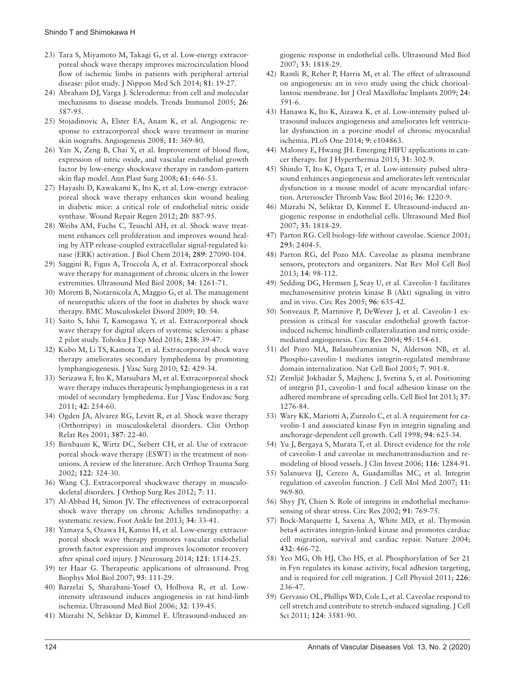- [23\) Tara S, Miyamoto M, Takagi G, et al. Low-energy extracor](http://dx.doi.org/10.1272/jnms.81.19)[poreal shock wave therapy improves microcirculation blood](http://dx.doi.org/10.1272/jnms.81.19)  [flow of ischemic limbs in patients with peripheral arterial](http://dx.doi.org/10.1272/jnms.81.19)  [disease: pilot study. J Nippon Med Sch 2014;](http://dx.doi.org/10.1272/jnms.81.19) **81**: 19-27.
- [24\) Abraham DJ, Varga J. Scleroderma: from cell and molecular](http://dx.doi.org/10.1016/j.it.2005.09.004)  [mechanisms to disease models. Trends Immunol 2005;](http://dx.doi.org/10.1016/j.it.2005.09.004) **26**: [587-95.](http://dx.doi.org/10.1016/j.it.2005.09.004)
- [25\) Stojadinovic A, Elster EA, Anam K, et al. Angiogenic re](http://dx.doi.org/10.1007/s10456-008-9120-6)[sponse to extracorporeal shock wave treatment in murine](http://dx.doi.org/10.1007/s10456-008-9120-6)  [skin isografts. Angiogenesis 2008;](http://dx.doi.org/10.1007/s10456-008-9120-6) **11**: 369-80.
- [26\) Yan X, Zeng B, Chai Y, et al. Improvement of blood flow,](http://dx.doi.org/10.1097/SAP.0b013e318172ba1f)  [expression of nitric oxide, and vascular endothelial growth](http://dx.doi.org/10.1097/SAP.0b013e318172ba1f)  [factor by low-energy shockwave therapy in random-pattern](http://dx.doi.org/10.1097/SAP.0b013e318172ba1f)  [skin flap model. Ann Plast Surg 2008;](http://dx.doi.org/10.1097/SAP.0b013e318172ba1f) **61**: 646-53.
- [27\) Hayashi D, Kawakami K, Ito K, et al. Low-energy extracor](http://dx.doi.org/10.1111/j.1524-475X.2012.00851.x)[poreal shock wave therapy enhances skin wound healing](http://dx.doi.org/10.1111/j.1524-475X.2012.00851.x)  [in diabetic mice: a critical role of endothelial nitric oxide](http://dx.doi.org/10.1111/j.1524-475X.2012.00851.x)  [synthase. Wound Repair Regen 2012;](http://dx.doi.org/10.1111/j.1524-475X.2012.00851.x) **20**: 887-95.
- [28\) Weihs AM, Fuchs C, Teuschl AH, et al. Shock wave treat](http://dx.doi.org/10.1074/jbc.M114.580936)[ment enhances cell proliferation and improves wound heal](http://dx.doi.org/10.1074/jbc.M114.580936)[ing by ATP release-coupled extracellular signal-regulated ki](http://dx.doi.org/10.1074/jbc.M114.580936)[nase \(ERK\) activation. J Biol Chem 2014;](http://dx.doi.org/10.1074/jbc.M114.580936) **289**: 27090-104.
- [29\) Saggini R, Figus A, Troccola A, et al. Extracorporeal shock](http://dx.doi.org/10.1016/j.ultrasmedbio.2008.01.010)  [wave therapy for management of chronic ulcers in the lower](http://dx.doi.org/10.1016/j.ultrasmedbio.2008.01.010)  [extremities. Ultrasound Med Biol 2008;](http://dx.doi.org/10.1016/j.ultrasmedbio.2008.01.010) **34**: 1261-71.
- [30\) Moretti B, Notarnicola A, Maggio G, et al. The management](http://dx.doi.org/10.1186/1471-2474-10-54)  [of neuropathic ulcers of the foot in diabetes by shock wave](http://dx.doi.org/10.1186/1471-2474-10-54)  [therapy. BMC Musculoskelet Disord 2009;](http://dx.doi.org/10.1186/1471-2474-10-54) **10**: 54.
- [31\) Saito S, Ishii T, Kamogawa Y, et al. Extracorporeal shock](http://dx.doi.org/10.1620/tjem.238.39)  [wave therapy for digital ulcers of systemic sclerosis: a phase](http://dx.doi.org/10.1620/tjem.238.39)  [2 pilot study. Tohoku J Exp Med 2016;](http://dx.doi.org/10.1620/tjem.238.39) **238**: 39-47.
- [32\) Kubo M, Li TS, Kamota T, et al. Extracorporeal shock wave](http://dx.doi.org/10.1016/j.jvs.2010.03.017)  [therapy ameliorates secondary lymphedema by promoting](http://dx.doi.org/10.1016/j.jvs.2010.03.017)  [lymphangiogenesis. J Vasc Surg 2010;](http://dx.doi.org/10.1016/j.jvs.2010.03.017) **52**: 429-34.
- [33\) Serizawa F, Ito K, Matsubara M, et al. Extracorporeal shock](http://dx.doi.org/10.1016/j.ejvs.2011.02.029)  [wave therapy induces therapeutic lymphangiogenesis in a rat](http://dx.doi.org/10.1016/j.ejvs.2011.02.029)  [model of secondary lymphedema. Eur J Vasc Endovasc Surg](http://dx.doi.org/10.1016/j.ejvs.2011.02.029)  2011; **42**[: 254-60.](http://dx.doi.org/10.1016/j.ejvs.2011.02.029)
- [34\) Ogden JA, Alvarez RG, Levitt R, et al. Shock wave therapy](http://dx.doi.org/10.1097/00003086-200106000-00005)  [\(Orthotripsy\) in musculoskeletal disorders. Clin Orthop](http://dx.doi.org/10.1097/00003086-200106000-00005)  [Relat Res 2001;](http://dx.doi.org/10.1097/00003086-200106000-00005) **387**: 22-40.
- [35\) Birnbaum K, Wirtz DC, Siebert CH, et al. Use of extracor](http://dx.doi.org/10.1007/s00402-001-0365-4)[poreal shock-wave therapy \(ESWT\) in the treatment of non](http://dx.doi.org/10.1007/s00402-001-0365-4)[unions. A review of the literature. Arch Orthop Trauma Surg](http://dx.doi.org/10.1007/s00402-001-0365-4)  2002; **122**[: 324-30.](http://dx.doi.org/10.1007/s00402-001-0365-4)
- [36\) Wang CJ. Extracorporeal shockwave therapy in musculo](http://dx.doi.org/10.1186/1749-799X-7-11)[skeletal disorders. J Orthop Surg Res 2012;](http://dx.doi.org/10.1186/1749-799X-7-11) **7**: 11.
- [37\) Al-Abbad H, Simon JV. The effectiveness of extracorporeal](http://dx.doi.org/10.1177/1071100712464354)  [shock wave therapy on chronic Achilles tendinopathy: a](http://dx.doi.org/10.1177/1071100712464354)  [systematic review. Foot Ankle Int 2013;](http://dx.doi.org/10.1177/1071100712464354) **34**: 33-41.
- [38\) Yamaya S, Ozawa H, Kanno H, et al. Low-energy extracor](http://dx.doi.org/10.3171/2014.8.JNS132562)[poreal shock wave therapy promotes vascular endothelial](http://dx.doi.org/10.3171/2014.8.JNS132562)  [growth factor expression and improves locomotor recovery](http://dx.doi.org/10.3171/2014.8.JNS132562)  [after spinal cord injury. J Neurosurg 2014;](http://dx.doi.org/10.3171/2014.8.JNS132562) **121**: 1514-25.
- [39\) ter Haar G. Therapeutic applications of ultrasound. Prog](http://dx.doi.org/10.1016/j.pbiomolbio.2006.07.005)  [Biophys Mol Biol 2007;](http://dx.doi.org/10.1016/j.pbiomolbio.2006.07.005) **93**: 111-29.
- [40\) Barzelai S, Sharabani-Yosef O, Holbova R, et al. Low](http://dx.doi.org/10.1016/j.ultrasmedbio.2005.08.010)[intensity ultrasound induces angiogenesis in rat hind-limb](http://dx.doi.org/10.1016/j.ultrasmedbio.2005.08.010)  [ischemia. Ultrasound Med Biol 2006;](http://dx.doi.org/10.1016/j.ultrasmedbio.2005.08.010) **32**: 139-45.
- [41\) Mizrahi N, Seliktar D, Kimmel E. Ultrasound-induced an-](http://dx.doi.org/10.1016/j.ultrasmedbio.2007.05.007)

[giogenic response in endothelial cells. Ultrasound Med Biol](http://dx.doi.org/10.1016/j.ultrasmedbio.2007.05.007)  2007; **33**[: 1818-29.](http://dx.doi.org/10.1016/j.ultrasmedbio.2007.05.007)

- 42) Ramli R, Reher P, Harris M, et al. The effect of ultrasound on angiogenesis: an in vivo study using the chick chorioallantoic membrane. Int J Oral Maxillofac Implants 2009; **24**: 591-6.
- [43\) Hanawa K, Ito K, Aizawa K, et al. Low-intensity pulsed ul](http://dx.doi.org/10.1371/journal.pone.0104863)[trasound induces angiogenesis and ameliorates left ventricu](http://dx.doi.org/10.1371/journal.pone.0104863)[lar dysfunction in a porcine model of chronic myocardial](http://dx.doi.org/10.1371/journal.pone.0104863)  [ischemia. PLoS One 2014;](http://dx.doi.org/10.1371/journal.pone.0104863) **9**: e104863.
- [44\) Maloney E, Hwang JH. Emerging HIFU applications in can](http://dx.doi.org/10.3109/02656736.2014.969789)[cer therapy. Int J Hyperthermia 2015;](http://dx.doi.org/10.3109/02656736.2014.969789) **31**: 302-9.
- [45\) Shindo T, Ito K, Ogata T, et al. Low-intensity pulsed ultra](http://dx.doi.org/10.1161/ATVBAHA.115.306477)[sound enhances angiogenesis and ameliorates left ventricular](http://dx.doi.org/10.1161/ATVBAHA.115.306477)  [dysfunction in a mouse model of acute myocardial infarc](http://dx.doi.org/10.1161/ATVBAHA.115.306477)[tion. Arterioscler Thromb Vasc Biol 2016;](http://dx.doi.org/10.1161/ATVBAHA.115.306477) **36**: 1220-9.
- [46\) Mizrahi N, Seliktar D, Kimmel E. Ultrasound-induced an](http://dx.doi.org/10.1016/j.ultrasmedbio.2007.05.007)[giogenic response in endothelial cells. Ultrasound Med Biol](http://dx.doi.org/10.1016/j.ultrasmedbio.2007.05.007)  2007; **33**[: 1818-29.](http://dx.doi.org/10.1016/j.ultrasmedbio.2007.05.007)
- [47\) Parton RG. Cell biology-life without caveolae. Science 2001;](http://dx.doi.org/10.1126/science.1065677)  **293**[: 2404-5.](http://dx.doi.org/10.1126/science.1065677)
- [48\) Parton RG, del Pozo MA. Caveolae as plasma membrane](http://dx.doi.org/10.1038/nrm3512)  [sensors, protectors and organizers. Nat Rev Mol Cell Biol](http://dx.doi.org/10.1038/nrm3512)  2013; **14**[: 98-112.](http://dx.doi.org/10.1038/nrm3512)
- [49\) Sedding DG, Hermsen J, Seay U, et al. Caveolin-1 facilitates](http://dx.doi.org/10.1161/01.RES.0000160610.61306.0f)  [mechanosensitive protein kinase B \(Akt\) signaling in vitro](http://dx.doi.org/10.1161/01.RES.0000160610.61306.0f)  [and in vivo. Circ Res 2005;](http://dx.doi.org/10.1161/01.RES.0000160610.61306.0f) **96**: 635-42.
- [50\) Sonveaux P, Martinive P, DeWever J, et al. Caveolin-1 ex](http://dx.doi.org/10.1161/01.RES.0000136344.27825.72)[pression is critical for vascular endothelial growth factor](http://dx.doi.org/10.1161/01.RES.0000136344.27825.72)[induced ischemic hindlimb collateralization and nitric oxide](http://dx.doi.org/10.1161/01.RES.0000136344.27825.72)[mediated angiogenesis. Circ Res 2004;](http://dx.doi.org/10.1161/01.RES.0000136344.27825.72) **95**: 154-61.
- [51\) del Pozo MA, Balasubramanian N, Alderson NB, et al.](http://dx.doi.org/10.1038/ncb1293)  [Phospho-caveolin-1 mediates integrin-regulated membrane](http://dx.doi.org/10.1038/ncb1293)  [domain internalization. Nat Cell Biol 2005;](http://dx.doi.org/10.1038/ncb1293) **7**: 901-8.
- 52) Zemljič [Jokhadar Š, Majhenc J, Svetina S, et al. Positioning](http://dx.doi.org/10.1002/cbin.10155)  of integrin β[1, caveolin-1 and focal adhesion kinase on the](http://dx.doi.org/10.1002/cbin.10155)  [adhered membrane of spreading cells. Cell Biol Int 2013;](http://dx.doi.org/10.1002/cbin.10155) **37**: [1276-84.](http://dx.doi.org/10.1002/cbin.10155)
- [53\) Wary KK, Mariotti A, Zurzolo C, et al. A requirement for ca](http://dx.doi.org/10.1016/S0092-8674(00)81604-9)[veolin-1 and associated kinase Fyn in integrin signaling and](http://dx.doi.org/10.1016/S0092-8674(00)81604-9)  [anchorage-dependent cell growth. Cell 1998;](http://dx.doi.org/10.1016/S0092-8674(00)81604-9) **94**: 625-34.
- [54\) Yu J, Bergaya S, Murata T, et al. Direct evidence for the role](http://dx.doi.org/10.1172/JCI27100)  [of caveolin-1 and caveolae in mechanotransduction and re](http://dx.doi.org/10.1172/JCI27100)[modeling of blood vessels. J Clin Invest 2006;](http://dx.doi.org/10.1172/JCI27100) **116**: 1284-91.
- [55\) Salanueva IJ, Cerezo A, Guadamillas MC, et al. Integrin](http://dx.doi.org/10.1111/j.1582-4934.2007.00109.x)  [regulation of caveolin function. J Cell Mol Med 2007;](http://dx.doi.org/10.1111/j.1582-4934.2007.00109.x) **11**: [969-80.](http://dx.doi.org/10.1111/j.1582-4934.2007.00109.x)
- [56\) Shyy JY, Chien S. Role of integrins in endothelial mechano](http://dx.doi.org/10.1161/01.RES.0000038487.19924.18)[sensing of shear stress. Circ Res 2002;](http://dx.doi.org/10.1161/01.RES.0000038487.19924.18) **91**: 769-75.
- [57\) Bock-Marquette I, Saxena A, White MD, et al. Thymosin](http://dx.doi.org/10.1038/nature03000)  [beta4 activates integrin-linked kinase and promotes cardiac](http://dx.doi.org/10.1038/nature03000)  [cell migration, survival and cardiac repair. Nature 2004;](http://dx.doi.org/10.1038/nature03000)  **432**[: 466-72.](http://dx.doi.org/10.1038/nature03000)
- [58\) Yeo MG, Oh HJ, Cho HS, et al. Phosphorylation of Ser 21](http://dx.doi.org/10.1002/jcp.22335)  [in Fyn regulates its kinase activity, focal adhesion targeting,](http://dx.doi.org/10.1002/jcp.22335)  [and is required for cell migration. J Cell Physiol 2011;](http://dx.doi.org/10.1002/jcp.22335) **226**: [236-47.](http://dx.doi.org/10.1002/jcp.22335)
- [59\) Gervasio OL, Phillips WD, Cole L, et al. Caveolae respond to](http://dx.doi.org/10.1242/jcs.084376)  [cell stretch and contribute to stretch-induced signaling. J Cell](http://dx.doi.org/10.1242/jcs.084376)  Sci 2011; **124**[: 3581-90.](http://dx.doi.org/10.1242/jcs.084376)